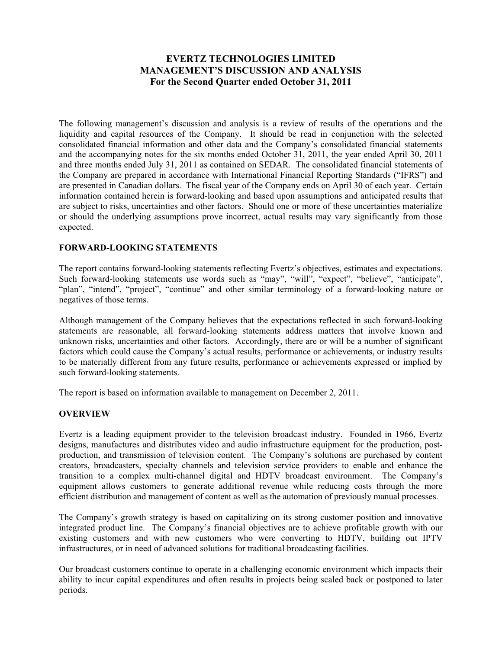# **EVERTZ TECHNOLOGIES LIMITED MANAGEMENT'S DISCUSSION AND ANALYSIS For the Second Quarter ended October 31, 2011**

The following management's discussion and analysis is a review of results of the operations and the liquidity and capital resources of the Company. It should be read in conjunction with the selected consolidated financial information and other data and the Company's consolidated financial statements and the accompanying notes for the six months ended October 31, 2011, the year ended April 30, 2011 and three months ended July 31, 2011 as contained on SEDAR. The consolidated financial statements of the Company are prepared in accordance with International Financial Reporting Standards ("IFRS") and are presented in Canadian dollars. The fiscal year of the Company ends on April 30 of each year. Certain information contained herein is forward-looking and based upon assumptions and anticipated results that are subject to risks, uncertainties and other factors. Should one or more of these uncertainties materialize or should the underlying assumptions prove incorrect, actual results may vary significantly from those expected.

# **FORWARD-LOOKING STATEMENTS**

The report contains forward-looking statements reflecting Evertz's objectives, estimates and expectations. Such forward-looking statements use words such as "may", "will", "expect", "believe", "anticipate", "plan", "intend", "project", "continue" and other similar terminology of a forward-looking nature or negatives of those terms.

Although management of the Company believes that the expectations reflected in such forward-looking statements are reasonable, all forward-looking statements address matters that involve known and unknown risks, uncertainties and other factors. Accordingly, there are or will be a number of significant factors which could cause the Company's actual results, performance or achievements, or industry results to be materially different from any future results, performance or achievements expressed or implied by such forward-looking statements.

The report is based on information available to management on December 2, 2011.

### **OVERVIEW**

Evertz is a leading equipment provider to the television broadcast industry. Founded in 1966, Evertz designs, manufactures and distributes video and audio infrastructure equipment for the production, postproduction, and transmission of television content. The Company's solutions are purchased by content creators, broadcasters, specialty channels and television service providers to enable and enhance the transition to a complex multi-channel digital and HDTV broadcast environment. The Company's equipment allows customers to generate additional revenue while reducing costs through the more efficient distribution and management of content as well as the automation of previously manual processes.

The Company's growth strategy is based on capitalizing on its strong customer position and innovative integrated product line. The Company's financial objectives are to achieve profitable growth with our existing customers and with new customers who were converting to HDTV, building out IPTV infrastructures, or in need of advanced solutions for traditional broadcasting facilities.

Our broadcast customers continue to operate in a challenging economic environment which impacts their ability to incur capital expenditures and often results in projects being scaled back or postponed to later periods.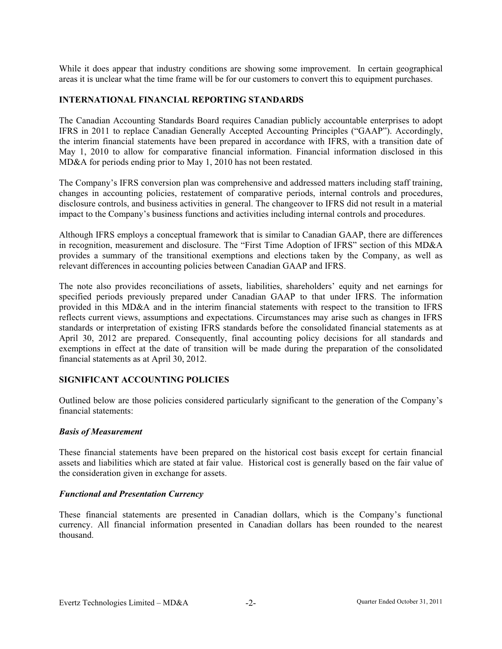While it does appear that industry conditions are showing some improvement. In certain geographical areas it is unclear what the time frame will be for our customers to convert this to equipment purchases.

### **INTERNATIONAL FINANCIAL REPORTING STANDARDS**

The Canadian Accounting Standards Board requires Canadian publicly accountable enterprises to adopt IFRS in 2011 to replace Canadian Generally Accepted Accounting Principles ("GAAP"). Accordingly, the interim financial statements have been prepared in accordance with IFRS, with a transition date of May 1, 2010 to allow for comparative financial information. Financial information disclosed in this MD&A for periods ending prior to May 1, 2010 has not been restated.

The Company's IFRS conversion plan was comprehensive and addressed matters including staff training, changes in accounting policies, restatement of comparative periods, internal controls and procedures, disclosure controls, and business activities in general. The changeover to IFRS did not result in a material impact to the Company's business functions and activities including internal controls and procedures.

Although IFRS employs a conceptual framework that is similar to Canadian GAAP, there are differences in recognition, measurement and disclosure. The "First Time Adoption of IFRS" section of this MD&A provides a summary of the transitional exemptions and elections taken by the Company, as well as relevant differences in accounting policies between Canadian GAAP and IFRS.

The note also provides reconciliations of assets, liabilities, shareholders' equity and net earnings for specified periods previously prepared under Canadian GAAP to that under IFRS. The information provided in this MD&A and in the interim financial statements with respect to the transition to IFRS reflects current views, assumptions and expectations. Circumstances may arise such as changes in IFRS standards or interpretation of existing IFRS standards before the consolidated financial statements as at April 30, 2012 are prepared. Consequently, final accounting policy decisions for all standards and exemptions in effect at the date of transition will be made during the preparation of the consolidated financial statements as at April 30, 2012.

### **SIGNIFICANT ACCOUNTING POLICIES**

Outlined below are those policies considered particularly significant to the generation of the Company's financial statements:

### *Basis of Measurement*

These financial statements have been prepared on the historical cost basis except for certain financial assets and liabilities which are stated at fair value. Historical cost is generally based on the fair value of the consideration given in exchange for assets.

### *Functional and Presentation Currency*

These financial statements are presented in Canadian dollars, which is the Company's functional currency. All financial information presented in Canadian dollars has been rounded to the nearest thousand.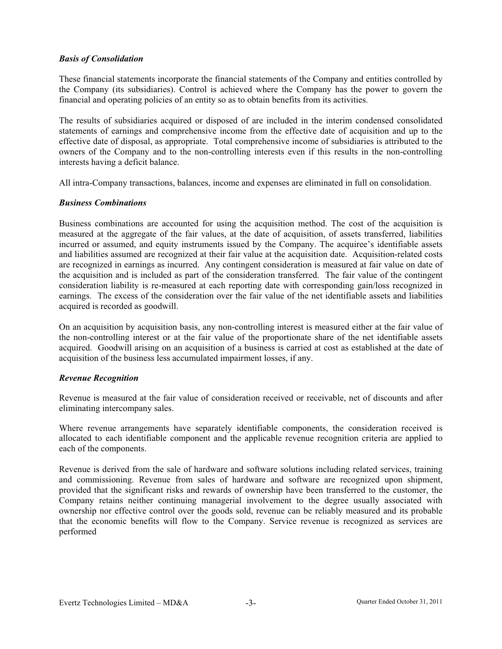### *Basis of Consolidation*

These financial statements incorporate the financial statements of the Company and entities controlled by the Company (its subsidiaries). Control is achieved where the Company has the power to govern the financial and operating policies of an entity so as to obtain benefits from its activities.

The results of subsidiaries acquired or disposed of are included in the interim condensed consolidated statements of earnings and comprehensive income from the effective date of acquisition and up to the effective date of disposal, as appropriate. Total comprehensive income of subsidiaries is attributed to the owners of the Company and to the non-controlling interests even if this results in the non-controlling interests having a deficit balance.

All intra-Company transactions, balances, income and expenses are eliminated in full on consolidation.

### *Business Combinations*

Business combinations are accounted for using the acquisition method. The cost of the acquisition is measured at the aggregate of the fair values, at the date of acquisition, of assets transferred, liabilities incurred or assumed, and equity instruments issued by the Company. The acquiree's identifiable assets and liabilities assumed are recognized at their fair value at the acquisition date. Acquisition-related costs are recognized in earnings as incurred. Any contingent consideration is measured at fair value on date of the acquisition and is included as part of the consideration transferred. The fair value of the contingent consideration liability is re-measured at each reporting date with corresponding gain/loss recognized in earnings. The excess of the consideration over the fair value of the net identifiable assets and liabilities acquired is recorded as goodwill.

On an acquisition by acquisition basis, any non-controlling interest is measured either at the fair value of the non-controlling interest or at the fair value of the proportionate share of the net identifiable assets acquired. Goodwill arising on an acquisition of a business is carried at cost as established at the date of acquisition of the business less accumulated impairment losses, if any.

### *Revenue Recognition*

Revenue is measured at the fair value of consideration received or receivable, net of discounts and after eliminating intercompany sales.

Where revenue arrangements have separately identifiable components, the consideration received is allocated to each identifiable component and the applicable revenue recognition criteria are applied to each of the components.

Revenue is derived from the sale of hardware and software solutions including related services, training and commissioning. Revenue from sales of hardware and software are recognized upon shipment, provided that the significant risks and rewards of ownership have been transferred to the customer, the Company retains neither continuing managerial involvement to the degree usually associated with ownership nor effective control over the goods sold, revenue can be reliably measured and its probable that the economic benefits will flow to the Company. Service revenue is recognized as services are performed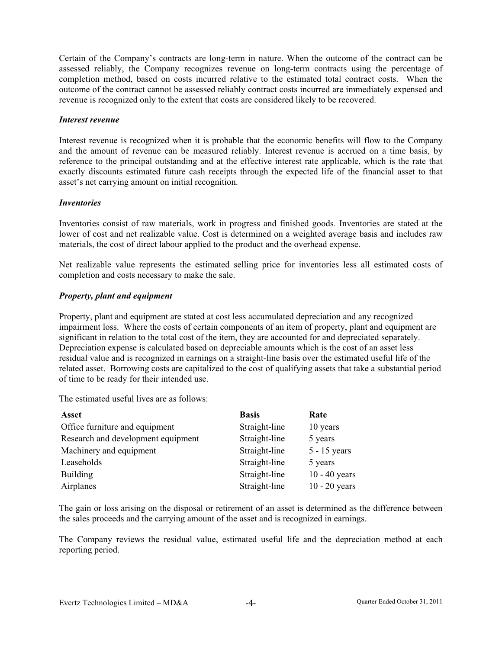Certain of the Company's contracts are long-term in nature. When the outcome of the contract can be assessed reliably, the Company recognizes revenue on long-term contracts using the percentage of completion method, based on costs incurred relative to the estimated total contract costs. When the outcome of the contract cannot be assessed reliably contract costs incurred are immediately expensed and revenue is recognized only to the extent that costs are considered likely to be recovered.

### *Interest revenue*

Interest revenue is recognized when it is probable that the economic benefits will flow to the Company and the amount of revenue can be measured reliably. Interest revenue is accrued on a time basis, by reference to the principal outstanding and at the effective interest rate applicable, which is the rate that exactly discounts estimated future cash receipts through the expected life of the financial asset to that asset's net carrying amount on initial recognition.

### *Inventories*

Inventories consist of raw materials, work in progress and finished goods. Inventories are stated at the lower of cost and net realizable value. Cost is determined on a weighted average basis and includes raw materials, the cost of direct labour applied to the product and the overhead expense.

Net realizable value represents the estimated selling price for inventories less all estimated costs of completion and costs necessary to make the sale.

### *Property, plant and equipment*

Property, plant and equipment are stated at cost less accumulated depreciation and any recognized impairment loss. Where the costs of certain components of an item of property, plant and equipment are significant in relation to the total cost of the item, they are accounted for and depreciated separately. Depreciation expense is calculated based on depreciable amounts which is the cost of an asset less residual value and is recognized in earnings on a straight-line basis over the estimated useful life of the related asset. Borrowing costs are capitalized to the cost of qualifying assets that take a substantial period of time to be ready for their intended use.

The estimated useful lives are as follows:

| Asset                              | <b>Basis</b>  | Rate            |
|------------------------------------|---------------|-----------------|
| Office furniture and equipment     | Straight-line | 10 years        |
| Research and development equipment | Straight-line | 5 years         |
| Machinery and equipment            | Straight-line | $5 - 15$ years  |
| Leaseholds                         | Straight-line | 5 years         |
| <b>Building</b>                    | Straight-line | $10 - 40$ years |
| Airplanes                          | Straight-line | $10 - 20$ years |

The gain or loss arising on the disposal or retirement of an asset is determined as the difference between the sales proceeds and the carrying amount of the asset and is recognized in earnings.

The Company reviews the residual value, estimated useful life and the depreciation method at each reporting period.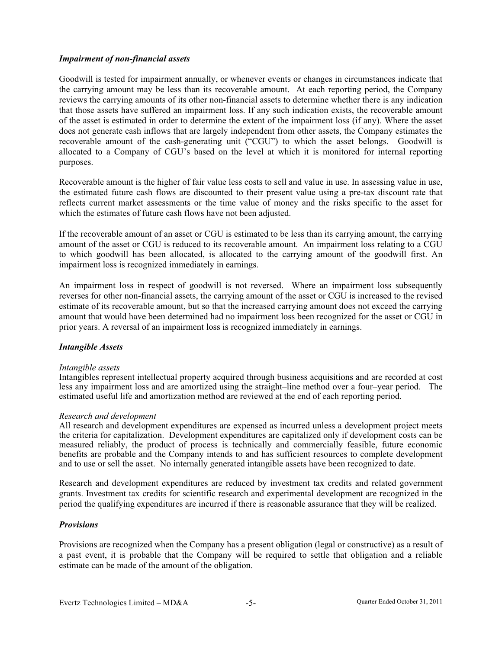### *Impairment of non-financial assets*

Goodwill is tested for impairment annually, or whenever events or changes in circumstances indicate that the carrying amount may be less than its recoverable amount. At each reporting period, the Company reviews the carrying amounts of its other non-financial assets to determine whether there is any indication that those assets have suffered an impairment loss. If any such indication exists, the recoverable amount of the asset is estimated in order to determine the extent of the impairment loss (if any). Where the asset does not generate cash inflows that are largely independent from other assets, the Company estimates the recoverable amount of the cash-generating unit ("CGU") to which the asset belongs. Goodwill is allocated to a Company of CGU's based on the level at which it is monitored for internal reporting purposes.

Recoverable amount is the higher of fair value less costs to sell and value in use. In assessing value in use, the estimated future cash flows are discounted to their present value using a pre-tax discount rate that reflects current market assessments or the time value of money and the risks specific to the asset for which the estimates of future cash flows have not been adjusted.

If the recoverable amount of an asset or CGU is estimated to be less than its carrying amount, the carrying amount of the asset or CGU is reduced to its recoverable amount. An impairment loss relating to a CGU to which goodwill has been allocated, is allocated to the carrying amount of the goodwill first. An impairment loss is recognized immediately in earnings.

An impairment loss in respect of goodwill is not reversed. Where an impairment loss subsequently reverses for other non-financial assets, the carrying amount of the asset or CGU is increased to the revised estimate of its recoverable amount, but so that the increased carrying amount does not exceed the carrying amount that would have been determined had no impairment loss been recognized for the asset or CGU in prior years. A reversal of an impairment loss is recognized immediately in earnings.

### *Intangible Assets*

### *Intangible assets*

Intangibles represent intellectual property acquired through business acquisitions and are recorded at cost less any impairment loss and are amortized using the straight–line method over a four–year period. The estimated useful life and amortization method are reviewed at the end of each reporting period.

### *Research and development*

All research and development expenditures are expensed as incurred unless a development project meets the criteria for capitalization. Development expenditures are capitalized only if development costs can be measured reliably, the product of process is technically and commercially feasible, future economic benefits are probable and the Company intends to and has sufficient resources to complete development and to use or sell the asset. No internally generated intangible assets have been recognized to date.

Research and development expenditures are reduced by investment tax credits and related government grants. Investment tax credits for scientific research and experimental development are recognized in the period the qualifying expenditures are incurred if there is reasonable assurance that they will be realized.

### *Provisions*

Provisions are recognized when the Company has a present obligation (legal or constructive) as a result of a past event, it is probable that the Company will be required to settle that obligation and a reliable estimate can be made of the amount of the obligation.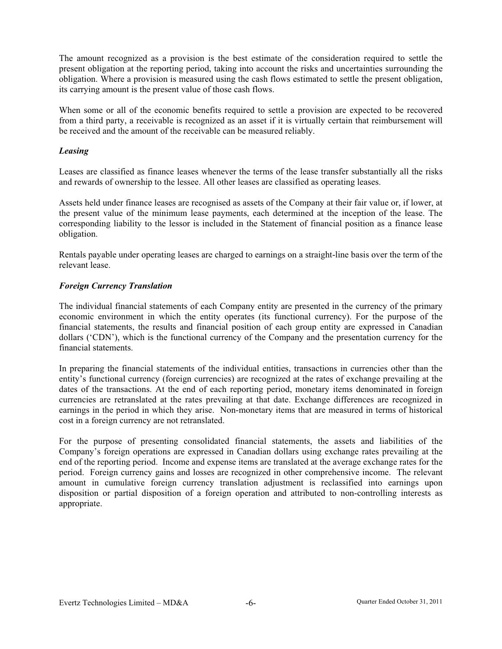The amount recognized as a provision is the best estimate of the consideration required to settle the present obligation at the reporting period, taking into account the risks and uncertainties surrounding the obligation. Where a provision is measured using the cash flows estimated to settle the present obligation, its carrying amount is the present value of those cash flows.

When some or all of the economic benefits required to settle a provision are expected to be recovered from a third party, a receivable is recognized as an asset if it is virtually certain that reimbursement will be received and the amount of the receivable can be measured reliably.

# *Leasing*

Leases are classified as finance leases whenever the terms of the lease transfer substantially all the risks and rewards of ownership to the lessee. All other leases are classified as operating leases.

Assets held under finance leases are recognised as assets of the Company at their fair value or, if lower, at the present value of the minimum lease payments, each determined at the inception of the lease. The corresponding liability to the lessor is included in the Statement of financial position as a finance lease obligation.

Rentals payable under operating leases are charged to earnings on a straight-line basis over the term of the relevant lease.

### *Foreign Currency Translation*

The individual financial statements of each Company entity are presented in the currency of the primary economic environment in which the entity operates (its functional currency). For the purpose of the financial statements, the results and financial position of each group entity are expressed in Canadian dollars ('CDN'), which is the functional currency of the Company and the presentation currency for the financial statements.

In preparing the financial statements of the individual entities, transactions in currencies other than the entity's functional currency (foreign currencies) are recognized at the rates of exchange prevailing at the dates of the transactions. At the end of each reporting period, monetary items denominated in foreign currencies are retranslated at the rates prevailing at that date. Exchange differences are recognized in earnings in the period in which they arise. Non-monetary items that are measured in terms of historical cost in a foreign currency are not retranslated.

For the purpose of presenting consolidated financial statements, the assets and liabilities of the Company's foreign operations are expressed in Canadian dollars using exchange rates prevailing at the end of the reporting period. Income and expense items are translated at the average exchange rates for the period. Foreign currency gains and losses are recognized in other comprehensive income. The relevant amount in cumulative foreign currency translation adjustment is reclassified into earnings upon disposition or partial disposition of a foreign operation and attributed to non-controlling interests as appropriate.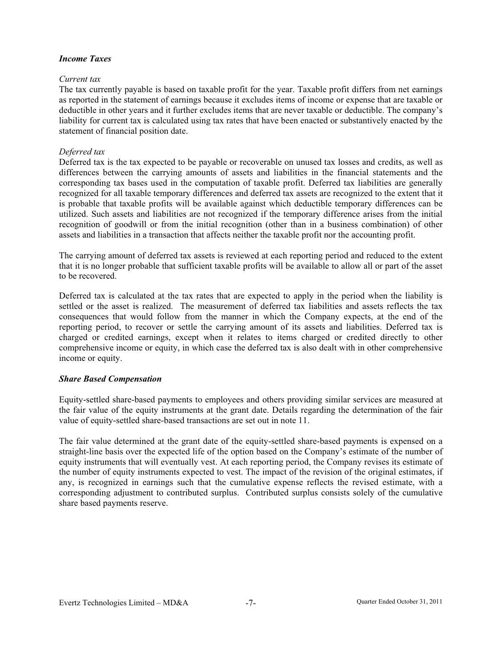### *Income Taxes*

### *Current tax*

The tax currently payable is based on taxable profit for the year. Taxable profit differs from net earnings as reported in the statement of earnings because it excludes items of income or expense that are taxable or deductible in other years and it further excludes items that are never taxable or deductible. The company's liability for current tax is calculated using tax rates that have been enacted or substantively enacted by the statement of financial position date.

### *Deferred tax*

Deferred tax is the tax expected to be payable or recoverable on unused tax losses and credits, as well as differences between the carrying amounts of assets and liabilities in the financial statements and the corresponding tax bases used in the computation of taxable profit. Deferred tax liabilities are generally recognized for all taxable temporary differences and deferred tax assets are recognized to the extent that it is probable that taxable profits will be available against which deductible temporary differences can be utilized. Such assets and liabilities are not recognized if the temporary difference arises from the initial recognition of goodwill or from the initial recognition (other than in a business combination) of other assets and liabilities in a transaction that affects neither the taxable profit nor the accounting profit.

The carrying amount of deferred tax assets is reviewed at each reporting period and reduced to the extent that it is no longer probable that sufficient taxable profits will be available to allow all or part of the asset to be recovered.

Deferred tax is calculated at the tax rates that are expected to apply in the period when the liability is settled or the asset is realized. The measurement of deferred tax liabilities and assets reflects the tax consequences that would follow from the manner in which the Company expects, at the end of the reporting period, to recover or settle the carrying amount of its assets and liabilities. Deferred tax is charged or credited earnings, except when it relates to items charged or credited directly to other comprehensive income or equity, in which case the deferred tax is also dealt with in other comprehensive income or equity.

### *Share Based Compensation*

Equity-settled share-based payments to employees and others providing similar services are measured at the fair value of the equity instruments at the grant date. Details regarding the determination of the fair value of equity-settled share-based transactions are set out in note 11.

The fair value determined at the grant date of the equity-settled share-based payments is expensed on a straight-line basis over the expected life of the option based on the Company's estimate of the number of equity instruments that will eventually vest. At each reporting period, the Company revises its estimate of the number of equity instruments expected to vest. The impact of the revision of the original estimates, if any, is recognized in earnings such that the cumulative expense reflects the revised estimate, with a corresponding adjustment to contributed surplus. Contributed surplus consists solely of the cumulative share based payments reserve.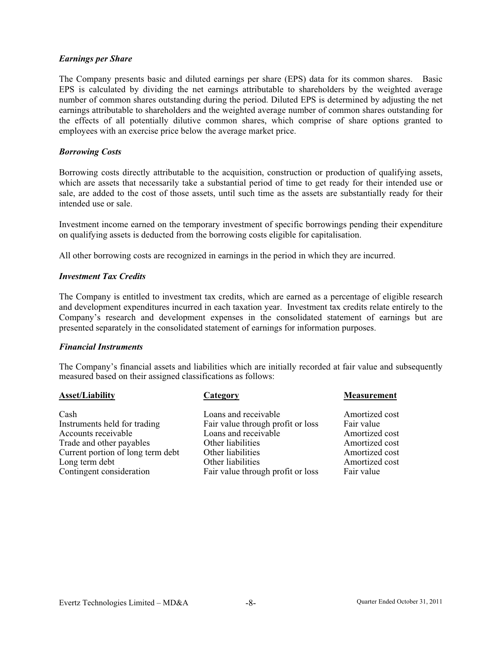### *Earnings per Share*

The Company presents basic and diluted earnings per share (EPS) data for its common shares. Basic EPS is calculated by dividing the net earnings attributable to shareholders by the weighted average number of common shares outstanding during the period. Diluted EPS is determined by adjusting the net earnings attributable to shareholders and the weighted average number of common shares outstanding for the effects of all potentially dilutive common shares, which comprise of share options granted to employees with an exercise price below the average market price.

### *Borrowing Costs*

Borrowing costs directly attributable to the acquisition, construction or production of qualifying assets, which are assets that necessarily take a substantial period of time to get ready for their intended use or sale, are added to the cost of those assets, until such time as the assets are substantially ready for their intended use or sale.

Investment income earned on the temporary investment of specific borrowings pending their expenditure on qualifying assets is deducted from the borrowing costs eligible for capitalisation.

All other borrowing costs are recognized in earnings in the period in which they are incurred.

### *Investment Tax Credits*

The Company is entitled to investment tax credits, which are earned as a percentage of eligible research and development expenditures incurred in each taxation year. Investment tax credits relate entirely to the Company's research and development expenses in the consolidated statement of earnings but are presented separately in the consolidated statement of earnings for information purposes.

### *Financial Instruments*

The Company's financial assets and liabilities which are initially recorded at fair value and subsequently measured based on their assigned classifications as follows:

### **Asset/Liability Category Category Measurement**

- Instruments held for trading Fair value through profit or loss Fair value<br>Accounts receivable Loans and receivable Amortized cost Accounts receivable<br>
Trade and other payables<br>
Other liabilities Trade and other payables **Other liabilities** Amortized cost Current portion of long term debt Other liabilities Amortized cost Long term debt Contingent consideration Fair value through profit or loss Fair value
- Cash Loans and receivable Amortized cost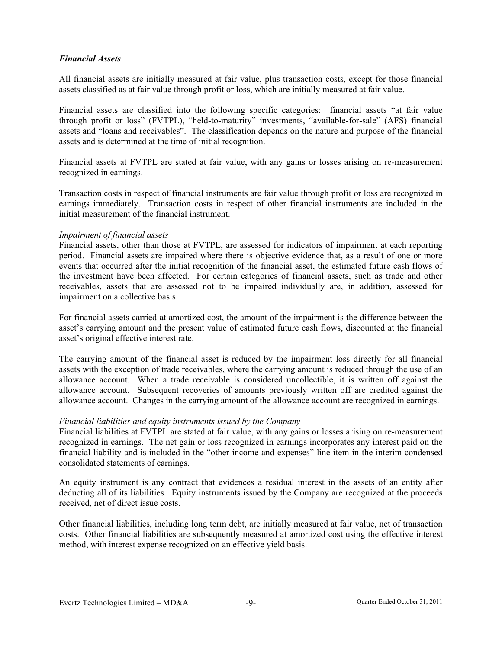### *Financial Assets*

All financial assets are initially measured at fair value, plus transaction costs, except for those financial assets classified as at fair value through profit or loss, which are initially measured at fair value.

Financial assets are classified into the following specific categories: financial assets "at fair value through profit or loss" (FVTPL), "held-to-maturity" investments, "available-for-sale" (AFS) financial assets and "loans and receivables". The classification depends on the nature and purpose of the financial assets and is determined at the time of initial recognition.

Financial assets at FVTPL are stated at fair value, with any gains or losses arising on re-measurement recognized in earnings.

Transaction costs in respect of financial instruments are fair value through profit or loss are recognized in earnings immediately. Transaction costs in respect of other financial instruments are included in the initial measurement of the financial instrument.

### *Impairment of financial assets*

Financial assets, other than those at FVTPL, are assessed for indicators of impairment at each reporting period. Financial assets are impaired where there is objective evidence that, as a result of one or more events that occurred after the initial recognition of the financial asset, the estimated future cash flows of the investment have been affected. For certain categories of financial assets, such as trade and other receivables, assets that are assessed not to be impaired individually are, in addition, assessed for impairment on a collective basis.

For financial assets carried at amortized cost, the amount of the impairment is the difference between the asset's carrying amount and the present value of estimated future cash flows, discounted at the financial asset's original effective interest rate.

The carrying amount of the financial asset is reduced by the impairment loss directly for all financial assets with the exception of trade receivables, where the carrying amount is reduced through the use of an allowance account. When a trade receivable is considered uncollectible, it is written off against the allowance account. Subsequent recoveries of amounts previously written off are credited against the allowance account. Changes in the carrying amount of the allowance account are recognized in earnings.

### *Financial liabilities and equity instruments issued by the Company*

Financial liabilities at FVTPL are stated at fair value, with any gains or losses arising on re-measurement recognized in earnings. The net gain or loss recognized in earnings incorporates any interest paid on the financial liability and is included in the "other income and expenses" line item in the interim condensed consolidated statements of earnings.

An equity instrument is any contract that evidences a residual interest in the assets of an entity after deducting all of its liabilities. Equity instruments issued by the Company are recognized at the proceeds received, net of direct issue costs.

Other financial liabilities, including long term debt, are initially measured at fair value, net of transaction costs. Other financial liabilities are subsequently measured at amortized cost using the effective interest method, with interest expense recognized on an effective yield basis.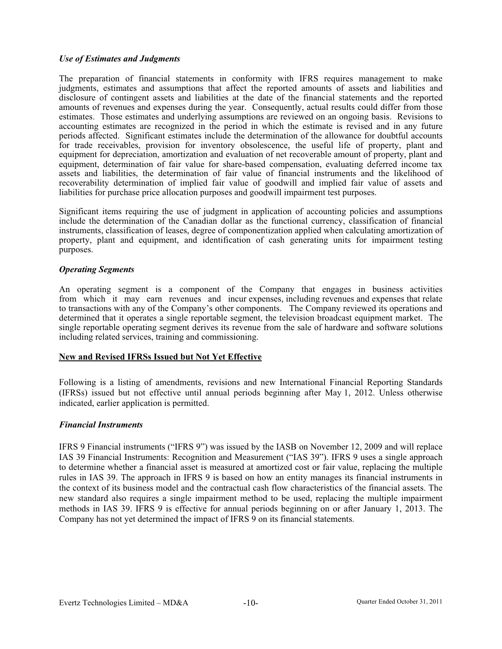### *Use of Estimates and Judgments*

The preparation of financial statements in conformity with IFRS requires management to make judgments, estimates and assumptions that affect the reported amounts of assets and liabilities and disclosure of contingent assets and liabilities at the date of the financial statements and the reported amounts of revenues and expenses during the year. Consequently, actual results could differ from those estimates. Those estimates and underlying assumptions are reviewed on an ongoing basis. Revisions to accounting estimates are recognized in the period in which the estimate is revised and in any future periods affected. Significant estimates include the determination of the allowance for doubtful accounts for trade receivables, provision for inventory obsolescence, the useful life of property, plant and equipment for depreciation, amortization and evaluation of net recoverable amount of property, plant and equipment, determination of fair value for share-based compensation, evaluating deferred income tax assets and liabilities, the determination of fair value of financial instruments and the likelihood of recoverability determination of implied fair value of goodwill and implied fair value of assets and liabilities for purchase price allocation purposes and goodwill impairment test purposes.

Significant items requiring the use of judgment in application of accounting policies and assumptions include the determination of the Canadian dollar as the functional currency, classification of financial instruments, classification of leases, degree of componentization applied when calculating amortization of property, plant and equipment, and identification of cash generating units for impairment testing purposes.

### *Operating Segments*

An operating segment is a component of the Company that engages in business activities from which it may earn revenues and incur expenses, including revenues and expenses that relate to transactions with any of the Company's other components. The Company reviewed its operations and determined that it operates a single reportable segment, the television broadcast equipment market. The single reportable operating segment derives its revenue from the sale of hardware and software solutions including related services, training and commissioning.

### **New and Revised IFRSs Issued but Not Yet Effective**

Following is a listing of amendments, revisions and new International Financial Reporting Standards (IFRSs) issued but not effective until annual periods beginning after May 1, 2012. Unless otherwise indicated, earlier application is permitted.

### *Financial Instruments*

IFRS 9 Financial instruments ("IFRS 9") was issued by the IASB on November 12, 2009 and will replace IAS 39 Financial Instruments: Recognition and Measurement ("IAS 39"). IFRS 9 uses a single approach to determine whether a financial asset is measured at amortized cost or fair value, replacing the multiple rules in IAS 39. The approach in IFRS 9 is based on how an entity manages its financial instruments in the context of its business model and the contractual cash flow characteristics of the financial assets. The new standard also requires a single impairment method to be used, replacing the multiple impairment methods in IAS 39. IFRS 9 is effective for annual periods beginning on or after January 1, 2013. The Company has not yet determined the impact of IFRS 9 on its financial statements.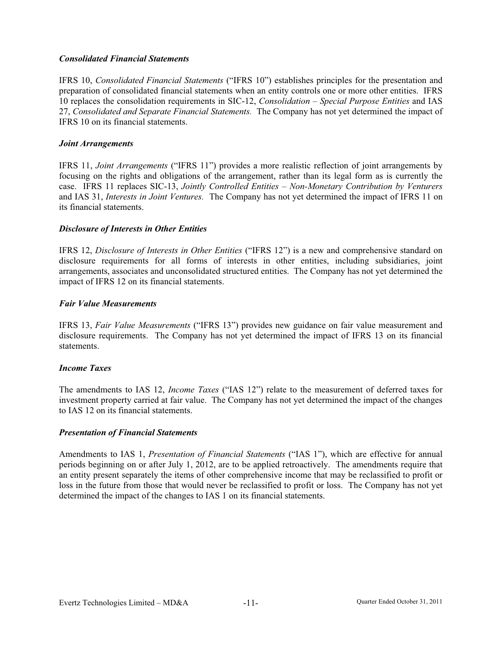### *Consolidated Financial Statements*

IFRS 10, *Consolidated Financial Statements* ("IFRS 10") establishes principles for the presentation and preparation of consolidated financial statements when an entity controls one or more other entities. IFRS 10 replaces the consolidation requirements in SIC-12, *Consolidation – Special Purpose Entities* and IAS 27, *Consolidated and Separate Financial Statements.* The Company has not yet determined the impact of IFRS 10 on its financial statements.

### *Joint Arrangements*

IFRS 11, *Joint Arrangements* ("IFRS 11") provides a more realistic reflection of joint arrangements by focusing on the rights and obligations of the arrangement, rather than its legal form as is currently the case. IFRS 11 replaces SIC-13, *Jointly Controlled Entities – Non-Monetary Contribution by Venturers*  and IAS 31, *Interests in Joint Ventures.* The Company has not yet determined the impact of IFRS 11 on its financial statements.

### *Disclosure of Interests in Other Entities*

IFRS 12, *Disclosure of Interests in Other Entities* ("IFRS 12") is a new and comprehensive standard on disclosure requirements for all forms of interests in other entities, including subsidiaries, joint arrangements, associates and unconsolidated structured entities. The Company has not yet determined the impact of IFRS 12 on its financial statements.

### *Fair Value Measurements*

IFRS 13, *Fair Value Measurements* ("IFRS 13") provides new guidance on fair value measurement and disclosure requirements. The Company has not yet determined the impact of IFRS 13 on its financial statements.

### *Income Taxes*

The amendments to IAS 12, *Income Taxes* ("IAS 12") relate to the measurement of deferred taxes for investment property carried at fair value. The Company has not yet determined the impact of the changes to IAS 12 on its financial statements.

### *Presentation of Financial Statements*

Amendments to IAS 1, *Presentation of Financial Statements* ("IAS 1"), which are effective for annual periods beginning on or after July 1, 2012, are to be applied retroactively. The amendments require that an entity present separately the items of other comprehensive income that may be reclassified to profit or loss in the future from those that would never be reclassified to profit or loss. The Company has not yet determined the impact of the changes to IAS 1 on its financial statements.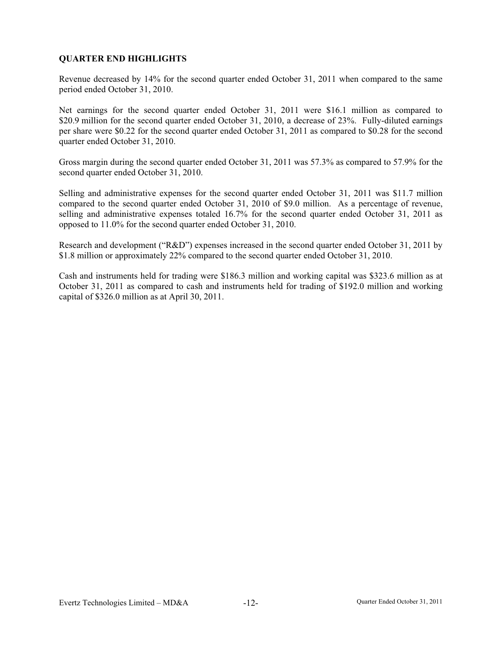# **QUARTER END HIGHLIGHTS**

Revenue decreased by 14% for the second quarter ended October 31, 2011 when compared to the same period ended October 31, 2010.

Net earnings for the second quarter ended October 31, 2011 were \$16.1 million as compared to \$20.9 million for the second quarter ended October 31, 2010, a decrease of 23%. Fully-diluted earnings per share were \$0.22 for the second quarter ended October 31, 2011 as compared to \$0.28 for the second quarter ended October 31, 2010.

Gross margin during the second quarter ended October 31, 2011 was 57.3% as compared to 57.9% for the second quarter ended October 31, 2010.

Selling and administrative expenses for the second quarter ended October 31, 2011 was \$11.7 million compared to the second quarter ended October 31, 2010 of \$9.0 million. As a percentage of revenue, selling and administrative expenses totaled 16.7% for the second quarter ended October 31, 2011 as opposed to 11.0% for the second quarter ended October 31, 2010.

Research and development ("R&D") expenses increased in the second quarter ended October 31, 2011 by \$1.8 million or approximately 22% compared to the second quarter ended October 31, 2010.

Cash and instruments held for trading were \$186.3 million and working capital was \$323.6 million as at October 31, 2011 as compared to cash and instruments held for trading of \$192.0 million and working capital of \$326.0 million as at April 30, 2011.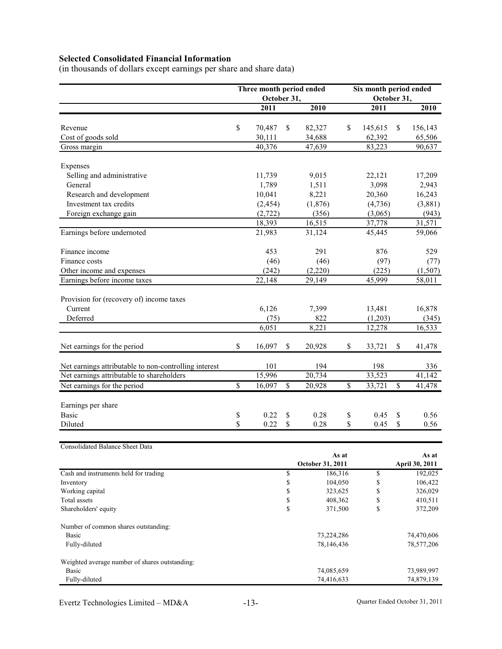# **Selected Consolidated Financial Information**

(in thousands of dollars except earnings per share and share data)

|                                                       |                         | Three month period ended |               |                  | Six month period ended |                  |    |                    |  |  |  |
|-------------------------------------------------------|-------------------------|--------------------------|---------------|------------------|------------------------|------------------|----|--------------------|--|--|--|
|                                                       |                         | October 31,              |               |                  |                        | October 31,      |    |                    |  |  |  |
|                                                       |                         | 2011                     |               | 2010             |                        | 2011             |    | 2010               |  |  |  |
|                                                       |                         |                          |               |                  |                        |                  |    |                    |  |  |  |
| Revenue                                               | \$                      | 70,487                   | \$            | 82,327           | \$                     | 145,615          | \$ | 156,143            |  |  |  |
| Cost of goods sold                                    |                         | 30,111<br>40,376         |               | 34,688<br>47,639 |                        | 62,392<br>83,223 |    | 65,506<br>90,637   |  |  |  |
| Gross margin                                          |                         |                          |               |                  |                        |                  |    |                    |  |  |  |
| Expenses                                              |                         |                          |               |                  |                        |                  |    |                    |  |  |  |
| Selling and administrative                            |                         | 11,739                   |               | 9,015            |                        | 22,121           |    | 17,209             |  |  |  |
| General                                               |                         | 1,789                    |               | 1,511            |                        | 3,098            |    | 2,943              |  |  |  |
| Research and development                              |                         | 10,041                   |               | 8,221            |                        | 20,360           |    | 16,243             |  |  |  |
| Investment tax credits                                |                         | (2, 454)                 |               | (1,876)          |                        | (4,736)          |    | (3,881)            |  |  |  |
| Foreign exchange gain                                 |                         | (2, 722)                 |               | (356)            |                        | (3,065)          |    | (943)              |  |  |  |
|                                                       |                         | 18,393                   |               | 16,515           |                        | 37,778           |    | 31,571             |  |  |  |
| Earnings before undernoted                            |                         | 21,983                   |               | 31,124           |                        | 45,445           |    | 59,066             |  |  |  |
| Finance income                                        |                         | 453                      |               | 291              |                        | 876              |    | 529                |  |  |  |
| Finance costs                                         |                         | (46)                     |               | (46)             |                        | (97)             |    |                    |  |  |  |
| Other income and expenses                             |                         | (242)                    |               | (2,220)          |                        | (225)            |    | (77)               |  |  |  |
| Earnings before income taxes                          |                         | 22,148                   |               | 29,149           |                        | 45,999           |    | (1,507)<br>58,011  |  |  |  |
|                                                       |                         |                          |               |                  |                        |                  |    |                    |  |  |  |
| Provision for (recovery of) income taxes              |                         |                          |               |                  |                        |                  |    |                    |  |  |  |
| Current                                               |                         | 6,126                    |               | 7,399            |                        | 13,481           |    | 16,878             |  |  |  |
| Deferred                                              |                         | (75)                     |               | 822              |                        | (1,203)          |    | (345)              |  |  |  |
|                                                       |                         | 6,051                    |               | 8,221            |                        | 12,278           |    | 16,533             |  |  |  |
| Net earnings for the period                           | \$                      | 16,097                   | \$            | 20,928           | \$                     | 33,721           | \$ | 41,478             |  |  |  |
| Net earnings attributable to non-controlling interest |                         | 101                      |               | 194              |                        | 198              |    | 336                |  |  |  |
| Net earnings attributable to shareholders             |                         | 15,996                   |               | 20,734           |                        | 33,523           |    | $\frac{1}{41,142}$ |  |  |  |
| Net earnings for the period                           | $\overline{\mathbb{S}}$ | 16,097                   | <sup>\$</sup> | 20,928           | \$                     | 33,721           | \$ | 41,478             |  |  |  |
|                                                       |                         |                          |               |                  |                        |                  |    |                    |  |  |  |
| Earnings per share                                    |                         |                          |               |                  |                        |                  |    |                    |  |  |  |
| <b>Basic</b>                                          | \$                      | 0.22                     | \$            | 0.28             | \$                     | 0.45             | \$ | 0.56               |  |  |  |
| Diluted                                               | \$                      | 0.22                     | \$            | 0.28             | \$                     | 0.45             | \$ | 0.56               |  |  |  |
| <b>Consolidated Balance Sheet Data</b>                |                         |                          |               |                  |                        |                  |    |                    |  |  |  |
|                                                       |                         |                          |               |                  | As at                  |                  |    | As at              |  |  |  |
|                                                       |                         |                          |               | October 31, 2011 |                        |                  |    | April 30, 2011     |  |  |  |
| Cash and instruments held for trading                 |                         |                          | \$            | 186,316          |                        | \$               |    | 192,025            |  |  |  |
| Inventory                                             |                         |                          | $\mathbb S$   | 104,050          |                        | \$               |    | 106,422            |  |  |  |
| Working capital                                       |                         |                          | \$            | 323,625          |                        | \$               |    | 326,029            |  |  |  |
| Total assets                                          |                         |                          | \$            | 408,362          |                        | \$               |    | 410,511            |  |  |  |
| Shareholders' equity                                  |                         |                          | \$            | 371,500          |                        | \$               |    | 372,209            |  |  |  |
| Number of common shares outstanding:                  |                         |                          |               |                  |                        |                  |    |                    |  |  |  |
| <b>Basic</b>                                          |                         |                          |               | 73,224,286       |                        |                  |    | 74,470,606         |  |  |  |
| Fully-diluted                                         |                         |                          |               | 78,146,436       |                        |                  |    | 78,577,206         |  |  |  |
| Weighted average number of shares outstanding:        |                         |                          |               |                  |                        |                  |    |                    |  |  |  |
| <b>Basic</b>                                          |                         |                          |               | 74,085,659       |                        |                  |    | 73,989,997         |  |  |  |
| Fully-diluted                                         |                         |                          |               | 74,416,633       |                        |                  |    | 74,879,139         |  |  |  |
|                                                       |                         |                          |               |                  |                        |                  |    |                    |  |  |  |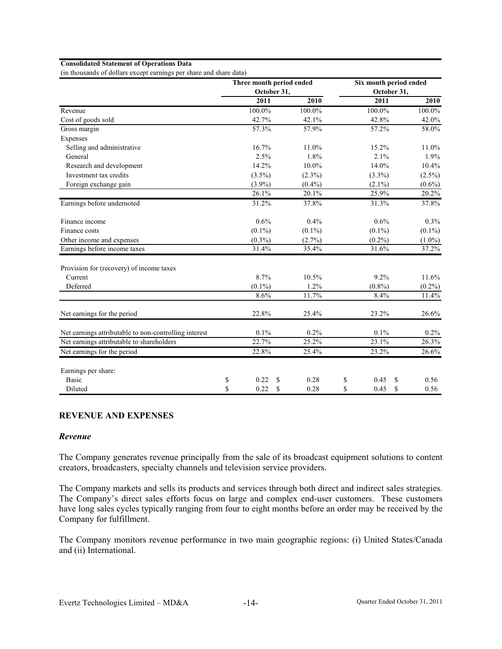### **Consolidated Statement of Operations Data**

(in thousands of dollars except earnings per share and share data)

|                                                       |             |             | Three month period ended | Six month period ended |                       |             |  |  |  |
|-------------------------------------------------------|-------------|-------------|--------------------------|------------------------|-----------------------|-------------|--|--|--|
|                                                       | October 31, |             |                          |                        | October 31,           |             |  |  |  |
|                                                       | 2011        |             | 2010                     |                        | 2011                  | <b>2010</b> |  |  |  |
| Revenue                                               | 100.0%      |             | 100.0%                   |                        | 100.0%                | 100.0%      |  |  |  |
| Cost of goods sold                                    | 42.7%       |             | 42.1%                    |                        | 42.8%                 | 42.0%       |  |  |  |
| Gross margin                                          | 57.3%       |             | 57.9%                    |                        | 57.2%                 | 58.0%       |  |  |  |
| Expenses                                              |             |             |                          |                        |                       |             |  |  |  |
| Selling and administrative                            | 16.7%       |             | 11.0%                    |                        | 15.2%                 | 11.0%       |  |  |  |
| General                                               | 2.5%        |             | 1.8%                     |                        | 2.1%                  | 1.9%        |  |  |  |
| Research and development                              | 14.2%       |             | 10.0%                    |                        | 14.0%                 | 10.4%       |  |  |  |
| Investment tax credits                                | $(3.5\%)$   |             | $(2.3\%)$                |                        | $(3.3\%)$             | $(2.5\%)$   |  |  |  |
| Foreign exchange gain                                 | $(3.9\%)$   |             | $(0.4\%)$                |                        | $(2.1\%)$             | $(0.6\%)$   |  |  |  |
|                                                       | 26.1%       |             | 20.1%                    |                        | 25.9%                 | 20.2%       |  |  |  |
| Earnings before undernoted                            | 31.2%       |             | 37.8%                    |                        | 31.3%                 | 37.8%       |  |  |  |
| Finance income                                        | 0.6%        |             | 0.4%                     |                        | 0.6%                  | 0.3%        |  |  |  |
| Finance costs                                         | $(0.1\%)$   |             | $(0.1\%)$                |                        | $(0.1\%)$             | $(0.1\%)$   |  |  |  |
| Other income and expenses                             | $(0.3\%)$   |             | $(2.7\%)$                |                        | $(0.2\%)$             | $(1.0\%)$   |  |  |  |
| Earnings before income taxes                          | 31.4%       |             | 35.4%                    |                        | 31.6%                 | 37.2%       |  |  |  |
| Provision for (recovery) of income taxes              |             |             |                          |                        |                       |             |  |  |  |
| Current                                               | 8.7%        |             | 10.5%                    |                        | 9.2%                  | 11.6%       |  |  |  |
| Deferred                                              | $(0.1\%)$   |             | 1.2%                     |                        | $(0.8\%)$             | $(0.2\%)$   |  |  |  |
|                                                       | 8.6%        |             | 11.7%                    |                        | 8.4%                  | 11.4%       |  |  |  |
| Net earnings for the period                           | 22.8%       |             | 25.4%                    |                        | 23.2%                 | 26.6%       |  |  |  |
| Net earnings attributable to non-controlling interest | 0.1%        |             | 0.2%                     |                        | 0.1%                  | 0.2%        |  |  |  |
| Net earnings attributable to shareholders             | 22.7%       |             | 25.2%                    |                        | 23.1%                 | 26.3%       |  |  |  |
| Net earnings for the period                           | 22.8%       |             | 25.4%                    |                        | 23.2%                 | 26.6%       |  |  |  |
| Earnings per share:                                   |             |             |                          |                        |                       |             |  |  |  |
| <b>Basic</b>                                          | \$<br>0.22  | S           | 0.28                     | \$                     | 0.45<br>\$            | 0.56        |  |  |  |
| Diluted                                               | \$<br>0.22  | $\mathbf S$ | 0.28                     | \$                     | <sup>\$</sup><br>0.45 | 0.56        |  |  |  |

### **REVENUE AND EXPENSES**

### *Revenue*

The Company generates revenue principally from the sale of its broadcast equipment solutions to content creators, broadcasters, specialty channels and television service providers.

The Company markets and sells its products and services through both direct and indirect sales strategies. The Company's direct sales efforts focus on large and complex end-user customers. These customers have long sales cycles typically ranging from four to eight months before an order may be received by the Company for fulfillment.

The Company monitors revenue performance in two main geographic regions: (i) United States/Canada and (ii) International.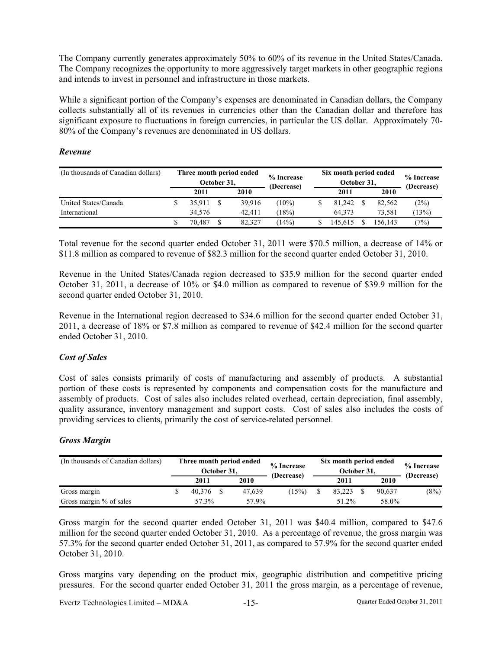The Company currently generates approximately 50% to 60% of its revenue in the United States/Canada. The Company recognizes the opportunity to more aggressively target markets in other geographic regions and intends to invest in personnel and infrastructure in those markets.

While a significant portion of the Company's expenses are denominated in Canadian dollars, the Company collects substantially all of its revenues in currencies other than the Canadian dollar and therefore has significant exposure to fluctuations in foreign currencies, in particular the US dollar. Approximately 70- 80% of the Company's revenues are denominated in US dollars.

### *Revenue*

| (In thousands of Canadian dollars) | Three month period ended<br>October 31, |  |        | % Increase<br>(Decrease) | Six month period ended<br>October 31, | % Increase<br>(Decrease) |       |  |
|------------------------------------|-----------------------------------------|--|--------|--------------------------|---------------------------------------|--------------------------|-------|--|
|                                    | 2011                                    |  | 2010   |                          | 2011                                  | 2010                     |       |  |
| United States/Canada               | 35.911                                  |  | 39.916 | $10\%)$                  | 81,242                                | 82.562                   | (2%)  |  |
| International                      | 34.576                                  |  | 42.411 | (18%)                    | 64.373                                | 73.581                   | (13%) |  |
|                                    | 70.487                                  |  | 82.327 | $14\%)$                  | 145.615                               | 156.143                  | (7%)  |  |

Total revenue for the second quarter ended October 31, 2011 were \$70.5 million, a decrease of 14% or \$11.8 million as compared to revenue of \$82.3 million for the second quarter ended October 31, 2010.

Revenue in the United States/Canada region decreased to \$35.9 million for the second quarter ended October 31, 2011, a decrease of 10% or \$4.0 million as compared to revenue of \$39.9 million for the second quarter ended October 31, 2010.

Revenue in the International region decreased to \$34.6 million for the second quarter ended October 31, 2011, a decrease of 18% or \$7.8 million as compared to revenue of \$42.4 million for the second quarter ended October 31, 2010.

### *Cost of Sales*

Cost of sales consists primarily of costs of manufacturing and assembly of products. A substantial portion of these costs is represented by components and compensation costs for the manufacture and assembly of products. Cost of sales also includes related overhead, certain depreciation, final assembly, quality assurance, inventory management and support costs. Cost of sales also includes the costs of providing services to clients, primarily the cost of service-related personnel.

### *Gross Margin*

| (In thousands of Canadian dollars) |  | October 31, | Three month period ended | % Increase<br>(Decrease) | Six month period ended<br>October 31, | % Increase<br>(Decrease) |        |      |
|------------------------------------|--|-------------|--------------------------|--------------------------|---------------------------------------|--------------------------|--------|------|
|                                    |  | 2011        |                          | 2010                     |                                       | 2011                     | 2010   |      |
| Gross margin                       |  | 40.376      |                          | 47.639                   | (15%)                                 | 83,223                   | 90.637 | (8%) |
| Gross margin % of sales            |  | 57.3%       |                          | 57.9%                    |                                       | 51.2%                    | 58.0%  |      |

Gross margin for the second quarter ended October 31, 2011 was \$40.4 million, compared to \$47.6 million for the second quarter ended October 31, 2010. As a percentage of revenue, the gross margin was 57.3% for the second quarter ended October 31, 2011, as compared to 57.9% for the second quarter ended October 31, 2010.

Gross margins vary depending on the product mix, geographic distribution and competitive pricing pressures. For the second quarter ended October 31, 2011 the gross margin, as a percentage of revenue,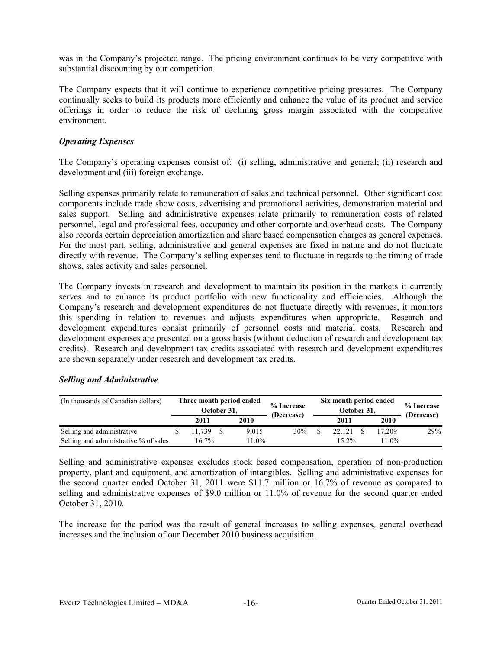was in the Company's projected range. The pricing environment continues to be very competitive with substantial discounting by our competition.

The Company expects that it will continue to experience competitive pricing pressures. The Company continually seeks to build its products more efficiently and enhance the value of its product and service offerings in order to reduce the risk of declining gross margin associated with the competitive environment.

### *Operating Expenses*

The Company's operating expenses consist of: (i) selling, administrative and general; (ii) research and development and (iii) foreign exchange.

Selling expenses primarily relate to remuneration of sales and technical personnel. Other significant cost components include trade show costs, advertising and promotional activities, demonstration material and sales support. Selling and administrative expenses relate primarily to remuneration costs of related personnel, legal and professional fees, occupancy and other corporate and overhead costs. The Company also records certain depreciation amortization and share based compensation charges as general expenses. For the most part, selling, administrative and general expenses are fixed in nature and do not fluctuate directly with revenue. The Company's selling expenses tend to fluctuate in regards to the timing of trade shows, sales activity and sales personnel.

The Company invests in research and development to maintain its position in the markets it currently serves and to enhance its product portfolio with new functionality and efficiencies. Although the Company's research and development expenditures do not fluctuate directly with revenues, it monitors this spending in relation to revenues and adjusts expenditures when appropriate. Research and development expenditures consist primarily of personnel costs and material costs. Research and development expenses are presented on a gross basis (without deduction of research and development tax credits). Research and development tax credits associated with research and development expenditures are shown separately under research and development tax credits.

| (In thousands of Canadian dollars)    |  | October 31. | Three month period ended | % Increase<br>(Decrease) | Six month period ended<br>October 31, | % Increase<br>(Decrease) |        |     |  |
|---------------------------------------|--|-------------|--------------------------|--------------------------|---------------------------------------|--------------------------|--------|-----|--|
|                                       |  | 2011        | 2010                     |                          | 2011                                  | 2010                     |        |     |  |
| Selling and administrative            |  | 11.739      | 9.015                    | 30%                      | 22.121                                |                          | 17.209 | 29% |  |
| Selling and administrative % of sales |  | $16.7\%$    | 11.0%                    |                          | $5.2\%$                               |                          | 11.0%  |     |  |

### *Selling and Administrative*

Selling and administrative expenses excludes stock based compensation, operation of non-production property, plant and equipment, and amortization of intangibles. Selling and administrative expenses for the second quarter ended October 31, 2011 were \$11.7 million or 16.7% of revenue as compared to selling and administrative expenses of \$9.0 million or 11.0% of revenue for the second quarter ended October 31, 2010.

The increase for the period was the result of general increases to selling expenses, general overhead increases and the inclusion of our December 2010 business acquisition.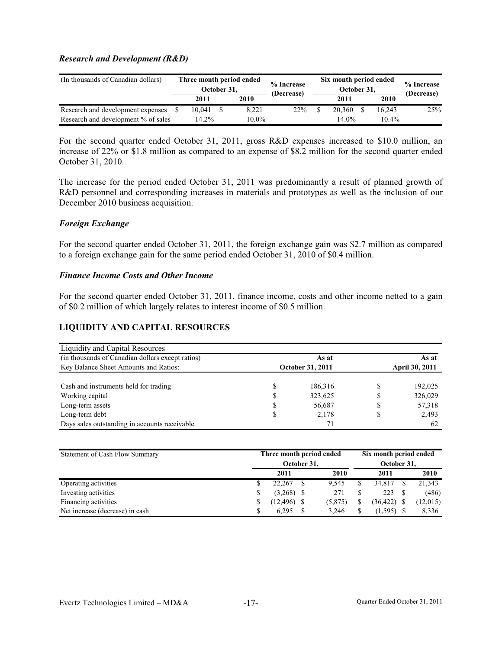### *Research and Development (R&D)*

| (In thousands of Canadian dollars)  |  | October 31, | Three month period ended | % Increase<br>(Decrease) | Six month period ended<br>October 31, | % Increase<br>(Decrease) |     |  |
|-------------------------------------|--|-------------|--------------------------|--------------------------|---------------------------------------|--------------------------|-----|--|
|                                     |  | 2011        | 2010                     |                          | 2011                                  | 2010                     |     |  |
| Research and development expenses   |  | 10.041      | 8.221                    | $22\%$                   | 20,360                                | 16.243                   | 25% |  |
| Research and development % of sales |  | 14.2%       | $10.0\%$                 |                          | $14.0\%$                              | $10.4\%$                 |     |  |

For the second quarter ended October 31, 2011, gross R&D expenses increased to \$10.0 million, an increase of 22% or \$1.8 million as compared to an expense of \$8.2 million for the second quarter ended October 31, 2010.

The increase for the period ended October 31, 2011 was predominantly a result of planned growth of R&D personnel and corresponding increases in materials and prototypes as well as the inclusion of our December 2010 business acquisition.

### *Foreign Exchange*

For the second quarter ended October 31, 2011, the foreign exchange gain was \$2.7 million as compared to a foreign exchange gain for the same period ended October 31, 2010 of \$0.4 million.

### *Finance Income Costs and Other Income*

For the second quarter ended October 31, 2011, finance income, costs and other income netted to a gain of \$0.2 million of which largely relates to interest income of \$0.5 million.

# **LIQUIDITY AND CAPITAL RESOURCES**

| Liquidity and Capital Resources                  |                                                  |         |       |         |  |  |  |  |  |
|--------------------------------------------------|--------------------------------------------------|---------|-------|---------|--|--|--|--|--|
| (in thousands of Canadian dollars except ratios) |                                                  | As at   | As at |         |  |  |  |  |  |
| Key Balance Sheet Amounts and Ratios:            | <b>October 31, 2011</b><br><b>April 30, 2011</b> |         |       |         |  |  |  |  |  |
|                                                  |                                                  |         |       |         |  |  |  |  |  |
| Cash and instruments held for trading            | ъ                                                | 186,316 | S     | 192,025 |  |  |  |  |  |
| Working capital                                  | S                                                | 323,625 | S     | 326,029 |  |  |  |  |  |
| Long-term assets                                 | ъ                                                | 56,687  | \$    | 57,318  |  |  |  |  |  |
| Long-term debt                                   | C                                                | 2,178   | S     | 2,493   |  |  |  |  |  |
| Days sales outstanding in accounts receivable    |                                                  |         |       | 62      |  |  |  |  |  |

| Statement of Cash Flow Summary  | Three month period ended |          | Six month period ended |           |  |           |  |  |  |
|---------------------------------|--------------------------|----------|------------------------|-----------|--|-----------|--|--|--|
|                                 | October 31,              |          | October 31,            |           |  |           |  |  |  |
|                                 | 2011                     | 2010     |                        | 2011      |  | 2010      |  |  |  |
| Operating activities            | 22.267                   | 9.545    |                        | 34.817    |  | 21,343    |  |  |  |
| Investing activities            | (3,268)                  | 271      |                        | 223       |  | (486)     |  |  |  |
| Financing activities            | (12, 496)                | (5, 875) | S                      | (36, 422) |  | (12, 015) |  |  |  |
| Net increase (decrease) in cash | 6.295                    | 3.246    | S                      | (1, 595)  |  | 8,336     |  |  |  |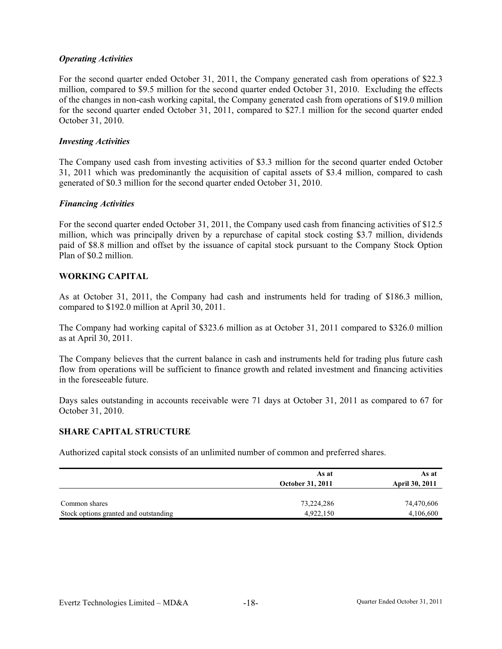### *Operating Activities*

For the second quarter ended October 31, 2011, the Company generated cash from operations of \$22.3 million, compared to \$9.5 million for the second quarter ended October 31, 2010. Excluding the effects of the changes in non-cash working capital, the Company generated cash from operations of \$19.0 million for the second quarter ended October 31, 2011, compared to \$27.1 million for the second quarter ended October 31, 2010.

### *Investing Activities*

The Company used cash from investing activities of \$3.3 million for the second quarter ended October 31, 2011 which was predominantly the acquisition of capital assets of \$3.4 million, compared to cash generated of \$0.3 million for the second quarter ended October 31, 2010.

### *Financing Activities*

For the second quarter ended October 31, 2011, the Company used cash from financing activities of \$12.5 million, which was principally driven by a repurchase of capital stock costing \$3.7 million, dividends paid of \$8.8 million and offset by the issuance of capital stock pursuant to the Company Stock Option Plan of \$0.2 million.

### **WORKING CAPITAL**

As at October 31, 2011, the Company had cash and instruments held for trading of \$186.3 million, compared to \$192.0 million at April 30, 2011.

The Company had working capital of \$323.6 million as at October 31, 2011 compared to \$326.0 million as at April 30, 2011.

The Company believes that the current balance in cash and instruments held for trading plus future cash flow from operations will be sufficient to finance growth and related investment and financing activities in the foreseeable future.

Days sales outstanding in accounts receivable were 71 days at October 31, 2011 as compared to 67 for October 31, 2010.

### **SHARE CAPITAL STRUCTURE**

Authorized capital stock consists of an unlimited number of common and preferred shares.

|                                       | As at<br><b>October 31, 2011</b> | As at<br><b>April 30, 2011</b> |
|---------------------------------------|----------------------------------|--------------------------------|
| Common shares                         | 73,224,286                       | 74,470,606                     |
| Stock options granted and outstanding | 4,922,150                        | 4,106,600                      |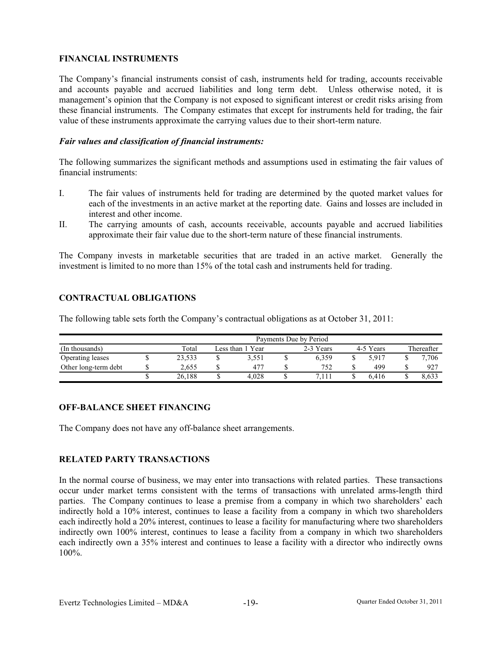# **FINANCIAL INSTRUMENTS**

The Company's financial instruments consist of cash, instruments held for trading, accounts receivable and accounts payable and accrued liabilities and long term debt. Unless otherwise noted, it is management's opinion that the Company is not exposed to significant interest or credit risks arising from these financial instruments. The Company estimates that except for instruments held for trading, the fair value of these instruments approximate the carrying values due to their short-term nature.

### *Fair values and classification of financial instruments:*

The following summarizes the significant methods and assumptions used in estimating the fair values of financial instruments:

- I. The fair values of instruments held for trading are determined by the quoted market values for each of the investments in an active market at the reporting date. Gains and losses are included in interest and other income.
- II. The carrying amounts of cash, accounts receivable, accounts payable and accrued liabilities approximate their fair value due to the short-term nature of these financial instruments.

The Company invests in marketable securities that are traded in an active market. Generally the investment is limited to no more than 15% of the total cash and instruments held for trading.

# **ONTRACTUAL OBLIGATIONS C**

The following table sets forth the Company's contractual obligations as at October 31, 2011:

|                      | Payments Due by Period |                  |           |           |       |  |            |  |       |  |  |  |  |  |
|----------------------|------------------------|------------------|-----------|-----------|-------|--|------------|--|-------|--|--|--|--|--|
| (In thousands)       | Total                  | Less than 1 Year | 2-3 Years | 4-5 Years |       |  | Thereafter |  |       |  |  |  |  |  |
| Operating leases     | 23.533                 |                  | 3.551     |           | 6.359 |  | 5.917      |  | 7,706 |  |  |  |  |  |
| Other long-term debt | 2.655                  |                  | $47^{-}$  |           | 752   |  | 499        |  | 927   |  |  |  |  |  |
|                      | 26.188                 |                  | 4.028     |           | '.111 |  | 6.416      |  | 8,633 |  |  |  |  |  |

# **OFF-BALANCE SHEET FINANCING**

The Company does not have any off-balance sheet arrangements.

# **ELATED PARTY TRANSACTIONS R**

In the normal course of business, we may enter into transactions with related parties. These transactions occur under market terms consistent with the terms of transactions with unrelated arms-length third parties. The Company continues to lease a premise from a company in which two shareholders' each indirectly hold a 10% interest, continues to lease a facility from a company in which two shareholders each indirectly hold a 20% interest, continues to lease a facility for manufacturing where two shareholders indirectly own 100% interest, continues to lease a facility from a company in which two shareholders each indirectly own a 35% interest and continues to lease a facility with a director who indirectly owns 100%.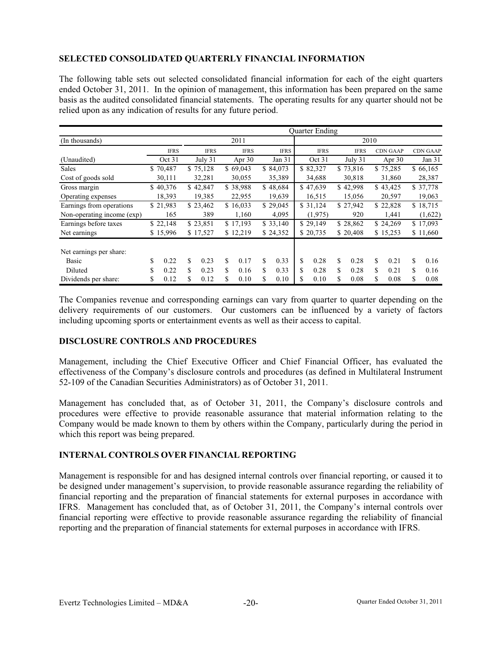# **SELECTED CONSOLIDATED QUARTERLY FINANCIAL INFORMATION**

The following table sets out selected consolidated financial information for each of the eight quarters ended October 31, 2011. In the opinion of management, this information has been prepared on the same basis as the audited consolidated financial statements. The operating results for any quarter should not be relied upon as any indication of results for any future period.

|                            |             |             |             |    |                   |    | <b>Ouarter Ending</b> |             |      |                 |    |                 |
|----------------------------|-------------|-------------|-------------|----|-------------------|----|-----------------------|-------------|------|-----------------|----|-----------------|
| (In thousands)             |             |             | 2011        |    |                   |    |                       |             | 2010 |                 |    |                 |
|                            | <b>IFRS</b> | <b>IFRS</b> | <b>IFRS</b> |    | <b>IFRS</b>       |    | <b>IFRS</b>           | <b>IFRS</b> |      | <b>CDN GAAP</b> |    | <b>CDN GAAP</b> |
| (Unaudited)                | Oct 31      | July 31     | Apr $30$    |    | Jan <sub>31</sub> |    | Oct 31                | July 31     |      | Apr $30$        |    | Jan 31          |
| Sales                      | \$70,487    | \$75,128    | \$69,043    |    | \$84,073          |    | \$82,327              | \$73,816    |      | \$75,285        |    | \$66,165        |
| Cost of goods sold         | 30,111      | 32,281      | 30,055      |    | 35,389            |    | 34,688                | 30,818      |      | 31,860          |    | 28,387          |
| Gross margin               | \$40,376    | \$42,847    | \$38,988    |    | \$48,684          |    | \$47,639              | \$42,998    |      | \$43,425        |    | \$37,778        |
| Operating expenses         | 18,393      | 19,385      | 22,955      |    | 19,639            |    | 16,515                | 15,056      |      | 20,597          |    | 19,063          |
| Earnings from operations   | \$21,983    | \$23,462    | \$16,033    |    | \$29,045          |    | \$31,124              | \$27,942    |      | \$22,828        |    | \$18,715        |
| Non-operating income (exp) | 165         | 389         | 1,160       |    | 4,095             |    | (1, 975)              | 920         |      | 1,441           |    | (1,622)         |
| Earnings before taxes      | \$22,148    | \$23,851    | \$17,193    |    | \$33,140          |    | \$29,149              | \$28,862    |      | \$24,269        |    | \$17,093        |
| Net earnings               | \$15,996    | \$17,527    | \$12,219    |    | \$24,352          |    | \$20,735              | \$20,408    |      | \$15,253        |    | \$11,660        |
| Net earnings per share:    |             |             |             |    |                   |    |                       |             |      |                 |    |                 |
| Basic                      | \$<br>0.22  | \$<br>0.23  | \$<br>0.17  | \$ | 0.33              | \$ | 0.28                  | \$<br>0.28  | \$   | 0.21            | \$ | 0.16            |
| Diluted                    | \$<br>0.22  | \$<br>0.23  | \$<br>0.16  | S. | 0.33              | \$ | 0.28                  | \$<br>0.28  | \$   | 0.21            | \$ | 0.16            |
| Dividends per share:       | \$<br>0.12  | \$<br>0.12  | \$<br>0.10  | \$ | 0.10              | S  | 0.10                  | \$<br>0.08  | \$   | 0.08            | S  | 0.08            |

The Companies revenue and corresponding earnings can vary from quarter to quarter depending on the delivery requirements of our customers. Our customers can be influenced by a variety of factors including upcoming sports or entertainment events as well as their access to capital.

### **DISCLOSURE CONTROLS AND PROCEDURES**

Management, including the Chief Executive Officer and Chief Financial Officer, has evaluated the effectiveness of the Company's disclosure controls and procedures (as defined in Multilateral Instrument 52-109 of the Canadian Securities Administrators) as of October 31, 2011.

Management has concluded that, as of October 31, 2011, the Company's disclosure controls and procedures were effective to provide reasonable assurance that material information relating to the Company would be made known to them by others within the Company, particularly during the period in which this report was being prepared.

### **INTERNAL CONTROLS OVER FINANCIAL REPORTING**

Management is responsible for and has designed internal controls over financial reporting, or caused it to be designed under management's supervision, to provide reasonable assurance regarding the reliability of financial reporting and the preparation of financial statements for external purposes in accordance with IFRS. Management has concluded that, as of October 31, 2011, the Company's internal controls over financial reporting were effective to provide reasonable assurance regarding the reliability of financial reporting and the preparation of financial statements for external purposes in accordance with IFRS.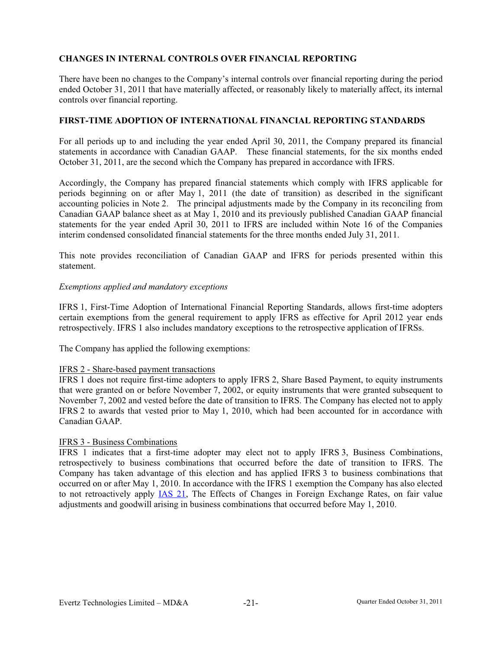# **CHANGES IN INTERNAL CONTROLS OVER FINANCIAL REPORTING**

There have been no changes to the Company's internal controls over financial reporting during the period ended October 31, 2011 that have materially affected, or reasonably likely to materially affect, its internal controls over financial reporting.

### **FIRST-TIME ADOPTION OF INTERNATIONAL FINANCIAL REPORTING STANDARDS**

For all periods up to and including the year ended April 30, 2011, the Company prepared its financial statements in accordance with Canadian GAAP. These financial statements, for the six months ended October 31, 2011, are the second which the Company has prepared in accordance with IFRS.

Accordingly, the Company has prepared financial statements which comply with IFRS applicable for periods beginning on or after May 1, 2011 (the date of transition) as described in the significant accounting policies in Note 2. The principal adjustments made by the Company in its reconciling from Canadian GAAP balance sheet as at May 1, 2010 and its previously published Canadian GAAP financial statements for the year ended April 30, 2011 to IFRS are included within Note 16 of the Companies interim condensed consolidated financial statements for the three months ended July 31, 2011.

This note provides reconciliation of Canadian GAAP and IFRS for periods presented within this statement.

### *Exemptions applied and mandatory exceptions*

IFRS 1, First-Time Adoption of International Financial Reporting Standards, allows first-time adopters certain exemptions from the general requirement to apply IFRS as effective for April 2012 year ends retrospectively. IFRS 1 also includes mandatory exceptions to the retrospective application of IFRSs.

The Company has applied the following exemptions:

### IFRS 2 - Share-based payment transactions

IFRS 1 does not require first-time adopters to apply IFRS 2, Share Based Payment, to equity instruments that were granted on or before November 7, 2002, or equity instruments that were granted subsequent to November 7, 2002 and vested before the date of transition to IFRS. The Company has elected not to apply IFRS 2 to awards that vested prior to May 1, 2010, which had been accounted for in accordance with Canadian GAAP.

### IFRS 3 - Business Combinations

IFRS 1 indicates that a first-time adopter may elect not to apply IFRS 3, Business Combinations, retrospectively to business combinations that occurred before the date of transition to IFRS. The Company has taken advantage of this election and has applied IFRS 3 to business combinations that occurred on or after May 1, 2010. In accordance with the IFRS 1 exemption the Company has also elected to not retroactively apply IAS 21, The Effects of Changes in Foreign Exchange Rates, on fair value adjustments and goodwill arising in business combinations that occurred before May 1, 2010.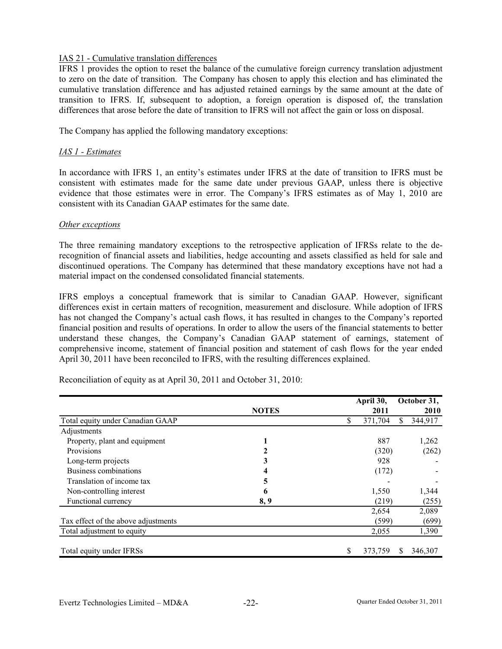# IAS 21 - Cumulative translation differences

IFRS 1 provides the option to reset the balance of the cumulative foreign currency translation adjustment to zero on the date of transition. The Company has chosen to apply this election and has eliminated the cumulative translation difference and has adjusted retained earnings by the same amount at the date of transition to IFRS. If, subsequent to adoption, a foreign operation is disposed of, the translation differences that arose before the date of transition to IFRS will not affect the gain or loss on disposal.

The Company has applied the following mandatory exceptions:

# *IAS 1 - Estimates*

In accordance with IFRS 1, an entity's estimates under IFRS at the date of transition to IFRS must be consistent with estimates made for the same date under previous GAAP, unless there is objective evidence that those estimates were in error. The Company's IFRS estimates as of May 1, 2010 are consistent with its Canadian GAAP estimates for the same date.

### *Other exceptions*

The three remaining mandatory exceptions to the retrospective application of IFRSs relate to the derecognition of financial assets and liabilities, hedge accounting and assets classified as held for sale and discontinued operations. The Company has determined that these mandatory exceptions have not had a material impact on the condensed consolidated financial statements.

IFRS employs a conceptual framework that is similar to Canadian GAAP. However, significant differences exist in certain matters of recognition, measurement and disclosure. While adoption of IFRS has not changed the Company's actual cash flows, it has resulted in changes to the Company's reported financial position and results of operations. In order to allow the users of the financial statements to better understand these changes, the Company's Canadian GAAP statement of earnings, statement of comprehensive income, statement of financial position and statement of cash flows for the year ended April 30, 2011 have been reconciled to IFRS, with the resulting differences explained.

|                                     |              | April 30,     | October 31, |         |
|-------------------------------------|--------------|---------------|-------------|---------|
|                                     | <b>NOTES</b> | 2011          |             | 2010    |
| Total equity under Canadian GAAP    |              | \$<br>371,704 | \$          | 344,917 |
| Adjustments                         |              |               |             |         |
| Property, plant and equipment       |              | 887           |             | 1,262   |
| Provisions                          |              | (320)         |             | (262)   |
| Long-term projects                  | 3            | 928           |             |         |
| Business combinations               | 4            | (172)         |             |         |
| Translation of income tax           | 5            |               |             |         |
| Non-controlling interest            | 6            | 1,550         |             | 1,344   |
| Functional currency                 | 8,9          | (219)         |             | (255)   |
|                                     |              | 2,654         |             | 2,089   |
| Tax effect of the above adjustments |              | (599)         |             | (699)   |
| Total adjustment to equity          |              | 2,055         |             | 1,390   |
| Total equity under IFRSs            |              | \$<br>373,759 | S           | 346,307 |

Reconciliation of equity as at April 30, 2011 and October 31, 2010: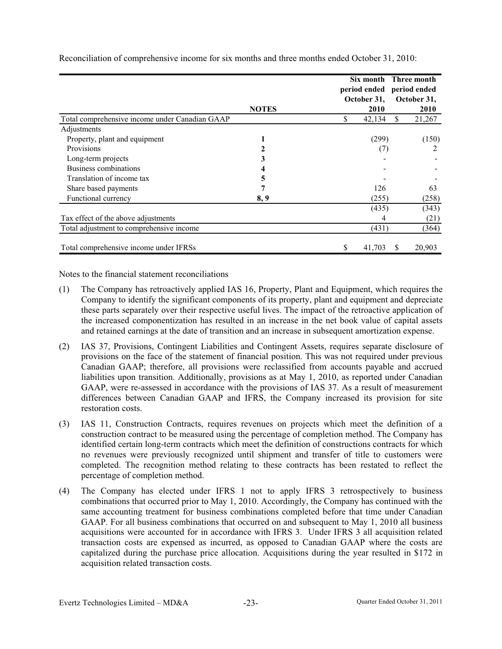|                                                |              | period ended<br>October 31, |               | Six month Three month<br>period ended<br>October 31, |  |
|------------------------------------------------|--------------|-----------------------------|---------------|------------------------------------------------------|--|
|                                                | <b>NOTES</b> | 2010                        |               | 2010                                                 |  |
| Total comprehensive income under Canadian GAAP |              | \$<br>42,134                | <sup>\$</sup> | 21,267                                               |  |
| Adjustments                                    |              |                             |               |                                                      |  |
| Property, plant and equipment                  |              | (299)                       |               | (150)                                                |  |
| Provisions                                     |              |                             |               |                                                      |  |
| Long-term projects                             |              |                             |               |                                                      |  |
| Business combinations                          |              |                             |               |                                                      |  |
| Translation of income tax                      | 5            |                             |               |                                                      |  |
| Share based payments                           |              | 126                         |               | 63                                                   |  |
| Functional currency                            | 8,9          | (255)                       |               | (258)                                                |  |
|                                                |              | (435)                       |               | (343)                                                |  |
| Tax effect of the above adjustments            |              | 4                           |               | (21)                                                 |  |
| Total adjustment to comprehensive income       |              | (431)                       |               | (364)                                                |  |
| Total comprehensive income under IFRSs         |              | \$<br>41,703                | S             | 20,903                                               |  |

Reconciliation of comprehensive income for six months and three months ended October 31, 2010:

Notes to the financial statement reconciliations

- (1) The Company has retroactively applied IAS 16, Property, Plant and Equipment, which requires the Company to identify the significant components of its property, plant and equipment and depreciate these parts separately over their respective useful lives. The impact of the retroactive application of the increased componentization has resulted in an increase in the net book value of capital assets and retained earnings at the date of transition and an increase in subsequent amortization expense.
- (2) IAS 37, Provisions, Contingent Liabilities and Contingent Assets, requires separate disclosure of provisions on the face of the statement of financial position. This was not required under previous Canadian GAAP; therefore, all provisions were reclassified from accounts payable and accrued liabilities upon transition. Additionally, provisions as at May 1, 2010, as reported under Canadian GAAP, were re-assessed in accordance with the provisions of IAS 37. As a result of measurement differences between Canadian GAAP and IFRS, the Company increased its provision for site restoration costs.
- (3) IAS 11, Construction Contracts, requires revenues on projects which meet the definition of a construction contract to be measured using the percentage of completion method. The Company has identified certain long-term contracts which meet the definition of constructions contracts for which no revenues were previously recognized until shipment and transfer of title to customers were completed. The recognition method relating to these contracts has been restated to reflect the percentage of completion method.
- (4) The Company has elected under IFRS 1 not to apply IFRS 3 retrospectively to business combinations that occurred prior to May 1, 2010. Accordingly, the Company has continued with the same accounting treatment for business combinations completed before that time under Canadian GAAP. For all business combinations that occurred on and subsequent to May 1, 2010 all business acquisitions were accounted for in accordance with IFRS 3. Under IFRS 3 all acquisition related transaction costs are expensed as incurred, as opposed to Canadian GAAP where the costs are capitalized during the purchase price allocation. Acquisitions during the year resulted in \$172 in acquisition related transaction costs.